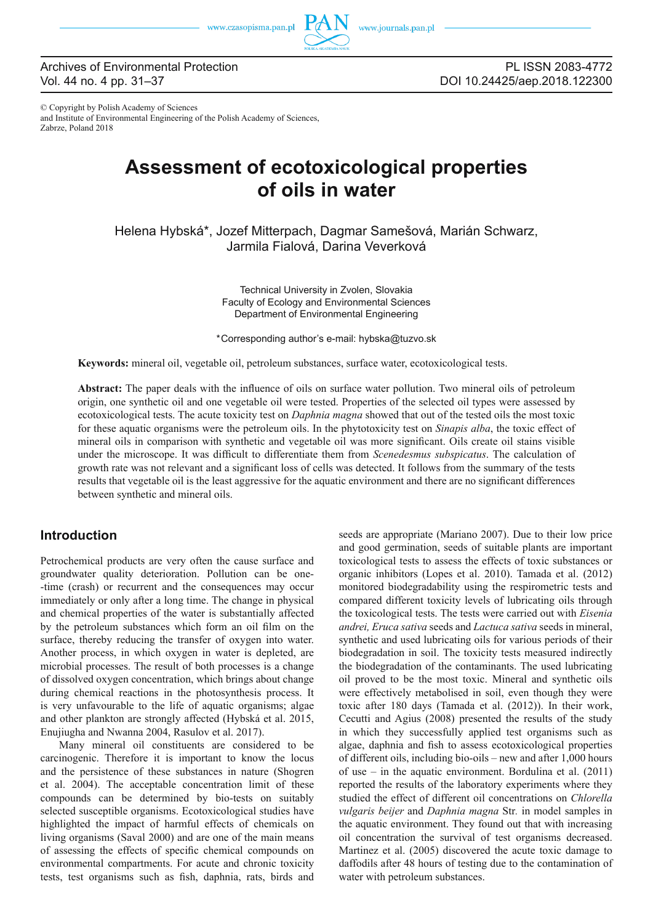

© Copyright by Polish Academy of Sciences and Institute of Environmental Engineering of the Polish Academy of Sciences, Zabrze, Poland 2018

# **Assessment of ecotoxicological properties of oils in water**

Helena Hybská\*, Jozef Mitterpach, Dagmar Samešová, Marián Schwarz, Jarmila Fialová, Darina Veverková

> Technical University in Zvolen, Slovakia Faculty of Ecology and Environmental Sciences Department of Environmental Engineering

\*Corresponding author's e-mail: hybska@tuzvo.sk

**Keywords:** mineral oil, vegetable oil, petroleum substances, surface water, ecotoxicological tests.

Abstract: The paper deals with the influence of oils on surface water pollution. Two mineral oils of petroleum origin, one synthetic oil and one vegetable oil were tested. Properties of the selected oil types were assessed by ecotoxicological tests. The acute toxicity test on *Daphnia magna* showed that out of the tested oils the most toxic for these aquatic organisms were the petroleum oils. In the phytotoxicity test on *Sinapis alba*, the toxic effect of mineral oils in comparison with synthetic and vegetable oil was more significant. Oils create oil stains visible under the microscope. It was difficult to differentiate them from *Scenedesmus subspicatus*. The calculation of growth rate was not relevant and a significant loss of cells was detected. It follows from the summary of the tests results that vegetable oil is the least aggressive for the aquatic environment and there are no significant differences between synthetic and mineral oils.

#### **Introduction**

Petrochemical products are very often the cause surface and groundwater quality deterioration. Pollution can be one- -time (crash) or recurrent and the consequences may occur immediately or only after a long time. The change in physical and chemical properties of the water is substantially affected by the petroleum substances which form an oil film on the surface, thereby reducing the transfer of oxygen into water. Another process, in which oxygen in water is depleted, are microbial processes. The result of both processes is a change of dissolved oxygen concentration, which brings about change during chemical reactions in the photosynthesis process. It is very unfavourable to the life of aquatic organisms; algae and other plankton are strongly affected (Hybská et al. 2015, Enujiugha and Nwanna 2004, Rasulov et al. 2017).

Many mineral oil constituents are considered to be carcinogenic. Therefore it is important to know the locus and the persistence of these substances in nature (Shogren et al. 2004). The acceptable concentration limit of these compounds can be determined by bio-tests on suitably selected susceptible organisms. Ecotoxicological studies have highlighted the impact of harmful effects of chemicals on living organisms (Saval 2000) and are one of the main means of assessing the effects of specific chemical compounds on environmental compartments. For acute and chronic toxicity tests, test organisms such as fish, daphnia, rats, birds and

seeds are appropriate (Mariano 2007). Due to their low price and good germination, seeds of suitable plants are important toxicological tests to assess the effects of toxic substances or organic inhibitors (Lopes et al. 2010). Tamada et al. (2012) monitored biodegradability using the respirometric tests and compared different toxicity levels of lubricating oils through the toxicological tests. The tests were carried out with *Eisenia andrei, Eruca sativa* seeds and *Lactuca sativa* seeds in mineral, synthetic and used lubricating oils for various periods of their biodegradation in soil. The toxicity tests measured indirectly the biodegradation of the contaminants. The used lubricating oil proved to be the most toxic. Mineral and synthetic oils were effectively metabolised in soil, even though they were toxic after 180 days (Tamada et al. (2012)). In their work, Cecutti and Agius (2008) presented the results of the study in which they successfully applied test organisms such as algae, daphnia and fish to assess ecotoxicological properties of different oils, including bio-oils – new and after 1,000 hours of use – in the aquatic environment. Bordulina et al. (2011) reported the results of the laboratory experiments where they studied the effect of different oil concentrations on *Chlorella vulgaris beijer* and *Daphnia magna* Str*.* in model samples in the aquatic environment. They found out that with increasing oil concentration the survival of test organisms decreased. Martinez et al. (2005) discovered the acute toxic damage to daffodils after 48 hours of testing due to the contamination of water with petroleum substances.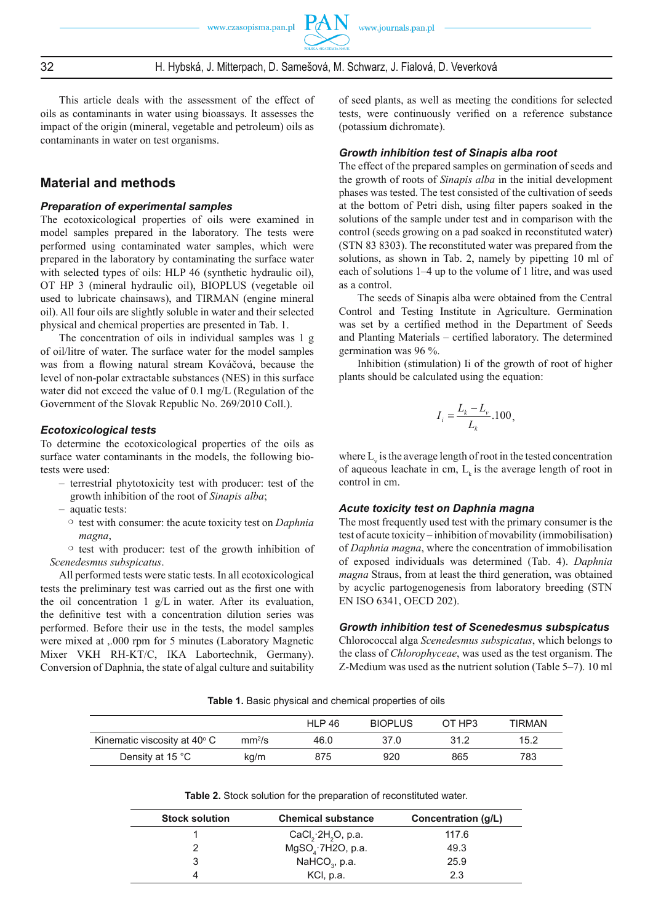32 H. Hybská, J. Mitterpach, D. Samešová, M. Schwarz, J. Fialová, D. Veverková

This article deals with the assessment of the effect of oils as contaminants in water using bioassays. It assesses the impact of the origin (mineral, vegetable and petroleum) oils as contaminants in water on test organisms.

### **Material and methods**

#### *Preparation of experimental samples*

The ecotoxicological properties of oils were examined in model samples prepared in the laboratory. The tests were performed using contaminated water samples, which were prepared in the laboratory by contaminating the surface water with selected types of oils: HLP 46 (synthetic hydraulic oil), OT HP 3 (mineral hydraulic oil), BIOPLUS (vegetable oil used to lubricate chainsaws), and TIRMAN (engine mineral oil). All four oils are slightly soluble in water and their selected physical and chemical properties are presented in Tab. 1.

The concentration of oils in individual samples was 1 g of oil/litre of water. The surface water for the model samples was from a flowing natural stream Kováčová, because the level of non-polar extractable substances (NES) in this surface water did not exceed the value of 0.1 mg/L (Regulation of the Government of the Slovak Republic No. 269/2010 Coll.).

#### *Ecotoxicological tests*

To determine the ecotoxicological properties of the oils as surface water contaminants in the models, the following biotests were used:

- terrestrial phytotoxicity test with producer: test of the growth inhibition of the root of *Sinapis alba*;
- aquatic tests:
- test with consumer: the acute toxicity test on *Daphnia magna*,

 $\circ$  test with producer: test of the growth inhibition of *Scenedesmus subspicatus*.

All performed tests were static tests. In all ecotoxicological tests the preliminary test was carried out as the first one with the oil concentration 1 g/L in water. After its evaluation, the definitive test with a concentration dilution series was performed. Before their use in the tests, the model samples were mixed at ,.000 rpm for 5 minutes (Laboratory Magnetic Mixer VKH RH-KT/C, IKA Labortechnik, Germany). Conversion of Daphnia, the state of algal culture and suitability of seed plants, as well as meeting the conditions for selected tests, were continuously verified on a reference substance (potassium dichromate).

#### *Growth inhibition test of Sinapis alba root*

The effect of the prepared samples on germination of seeds and the growth of roots of *Sinapis alba* in the initial development phases was tested. The test consisted of the cultivation of seeds at the bottom of Petri dish, using filter papers soaked in the solutions of the sample under test and in comparison with the control (seeds growing on a pad soaked in reconstituted water) (STN 83 8303). The reconstituted water was prepared from the solutions, as shown in Tab. 2, namely by pipetting 10 ml of each of solutions 1–4 up to the volume of 1 litre, and was used as a control.

The seeds of Sinapis alba were obtained from the Central Control and Testing Institute in Agriculture. Germination was set by a certified method in the Department of Seeds and Planting Materials – certified laboratory. The determined germination was 96 %.

Inhibition (stimulation) Ii of the growth of root of higher plants should be calculated using the equation:

$$
I_i = \frac{L_k - L_v}{L_k} .100,
$$

where  $L_{v}$  is the average length of root in the tested concentration of aqueous leachate in cm,  $L_k$  is the average length of root in control in cm.

#### *Acute toxicity test on Daphnia magna*

The most frequently used test with the primary consumer is the test of acute toxicity – inhibition of movability (immobilisation) of *Daphnia magna*, where the concentration of immobilisation of exposed individuals was determined (Tab. 4). *Daphnia magna* Straus, from at least the third generation, was obtained by acyclic partogenogenesis from laboratory breeding (STN EN ISO 6341, OECD 202).

#### *Growth inhibition test of Scenedesmus subspicatus*

Chlorococcal alga *Scenedesmus subspicatus*, which belongs to the class of *Chlorophyceae*, was used as the test organism. The Z-Medium was used as the nutrient solution (Table 5–7). 10 ml

**Table 1.** Basic physical and chemical properties of oils

|                                       |                    | HI P 46 | <b>BIOPIUS</b> | OT HP3 | TIRMAN |
|---------------------------------------|--------------------|---------|----------------|--------|--------|
| Kinematic viscosity at $40^{\circ}$ C | mm <sup>2</sup> /s | 46.0    | 37.0           | 31.2   | 15.2   |
| Density at 15 °C                      | kg/m               | 875     | 920            | 865    | 783    |

**Table 2.** Stock solution for the preparation of reconstituted water.

| <b>Stock solution</b> | <b>Chemical substance</b>                         | Concentration (g/L) |  |  |
|-----------------------|---------------------------------------------------|---------------------|--|--|
|                       | CaCl <sub>2</sub> $\cdot$ 2H <sub>2</sub> O, p.a. | 117.6               |  |  |
|                       | MgSO <sub>a</sub> ·7H2O, p.a.                     | 49.3                |  |  |
|                       | NaHCO <sub>3</sub> , p.a.                         | 25.9                |  |  |
|                       | KCI, p.a.                                         | 2.3                 |  |  |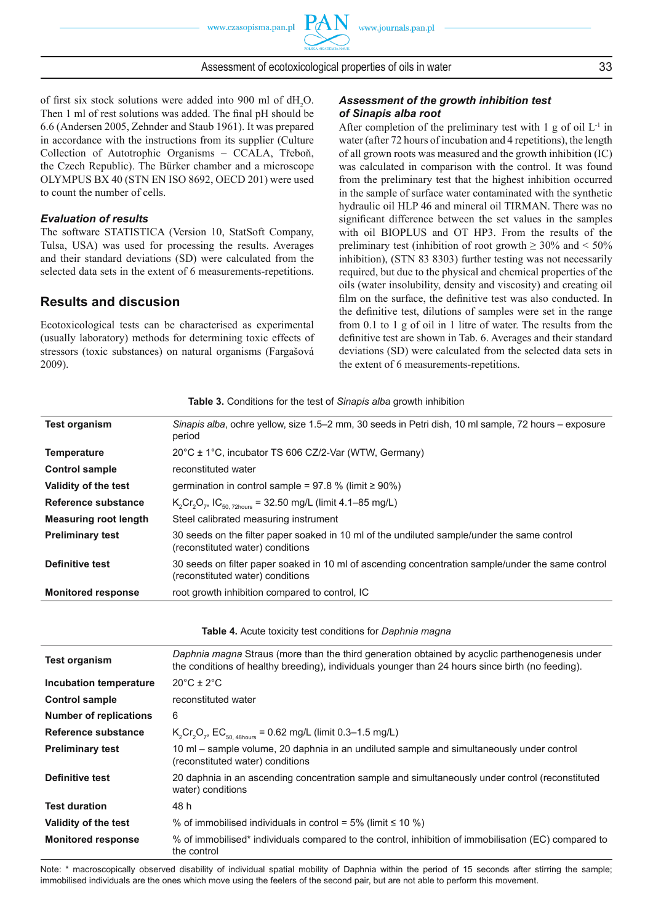of first six stock solutions were added into 900 ml of  $dH_2O$ .

Then 1 ml of rest solutions was added. The final pH should be 6.6 (Andersen 2005, Zehnder and Staub 1961). It was prepared in accordance with the instructions from its supplier (Culture Collection of Autotrophic Organisms – CCALA, Třeboň, the Czech Republic). The Bürker chamber and a microscope OLYMPUS BX 40 (STN EN ISO 8692, OECD 201) were used to count the number of cells.

#### *Evaluation of results*

The software STATISTICA (Version 10, StatSoft Company, Tulsa, USA) was used for processing the results. Averages and their standard deviations (SD) were calculated from the selected data sets in the extent of 6 measurements-repetitions.

## **Results and discusion**

Ecotoxicological tests can be characterised as experimental (usually laboratory) methods for determining toxic effects of stressors (toxic substances) on natural organisms (Fargašová 2009).

#### *Assessment of the growth inhibition test of Sinapis alba root*

After completion of the preliminary test with 1 g of oil  $L^{-1}$  in water (after 72 hours of incubation and 4 repetitions), the length of all grown roots was measured and the growth inhibition (IC) was calculated in comparison with the control. It was found from the preliminary test that the highest inhibition occurred in the sample of surface water contaminated with the synthetic hydraulic oil HLP 46 and mineral oil TIRMAN. There was no significant difference between the set values in the samples with oil BIOPLUS and OT HP3. From the results of the preliminary test (inhibition of root growth  $\geq 30\%$  and  $\leq 50\%$ inhibition), (STN 83 8303) further testing was not necessarily required, but due to the physical and chemical properties of the oils (water insolubility, density and viscosity) and creating oil film on the surface, the definitive test was also conducted. In the definitive test, dilutions of samples were set in the range from 0.1 to 1 g of oil in 1 litre of water. The results from the definitive test are shown in Tab. 6. Averages and their standard deviations (SD) were calculated from the selected data sets in the extent of 6 measurements-repetitions.

| Table 3. Conditions for the test of Sinapis alba growth inhibition |  |
|--------------------------------------------------------------------|--|
|--------------------------------------------------------------------|--|

| <b>Test organism</b>         | Sinapis alba, ochre yellow, size 1.5–2 mm, 30 seeds in Petri dish, 10 ml sample, 72 hours – exposure<br>period                        |
|------------------------------|---------------------------------------------------------------------------------------------------------------------------------------|
| <b>Temperature</b>           | $20^{\circ}$ C ± 1°C, incubator TS 606 CZ/2-Var (WTW, Germany)                                                                        |
| <b>Control sample</b>        | reconstituted water                                                                                                                   |
| Validity of the test         | germination in control sample = $97.8$ % (limit $\geq 90\%$ )                                                                         |
| Reference substance          | $K_2Cr_2O_7$ , IC <sub>50, 72hours</sub> = 32.50 mg/L (limit 4.1–85 mg/L)                                                             |
| <b>Measuring root length</b> | Steel calibrated measuring instrument                                                                                                 |
| <b>Preliminary test</b>      | 30 seeds on the filter paper soaked in 10 ml of the undiluted sample/under the same control<br>(reconstituted water) conditions       |
| Definitive test              | 30 seeds on filter paper soaked in 10 ml of ascending concentration sample/under the same control<br>(reconstituted water) conditions |
| <b>Monitored response</b>    | root growth inhibition compared to control, IC                                                                                        |

**Table 4.** Acute toxicity test conditions for *Daphnia magna*

| <b>Test organism</b>          | Daphnia magna Straus (more than the third generation obtained by acyclic parthenogenesis under<br>the conditions of healthy breeding), individuals younger than 24 hours since birth (no feeding). |
|-------------------------------|----------------------------------------------------------------------------------------------------------------------------------------------------------------------------------------------------|
| Incubation temperature        | $20^{\circ}$ C ± 2 $^{\circ}$ C                                                                                                                                                                    |
| <b>Control sample</b>         | reconstituted water                                                                                                                                                                                |
| <b>Number of replications</b> | 6                                                                                                                                                                                                  |
| Reference substance           | $K_2Cr_2O_7$ , EC <sub>50, 48hours</sub> = 0.62 mg/L (limit 0.3–1.5 mg/L)                                                                                                                          |
| <b>Preliminary test</b>       | 10 ml – sample volume, 20 daphnia in an undiluted sample and simultaneously under control<br>(reconstituted water) conditions                                                                      |
| <b>Definitive test</b>        | 20 daphnia in an ascending concentration sample and simultaneously under control (reconstituted<br>water) conditions                                                                               |
| <b>Test duration</b>          | 48 h                                                                                                                                                                                               |
| Validity of the test          | % of immobilised individuals in control = $5\%$ (limit $\leq 10\%$ )                                                                                                                               |
| <b>Monitored response</b>     | % of immobilised* individuals compared to the control, inhibition of immobilisation (EC) compared to<br>the control                                                                                |

Note: \* macroscopically observed disability of individual spatial mobility of Daphnia within the period of 15 seconds after stirring the sample; immobilised individuals are the ones which move using the feelers of the second pair, but are not able to perform this movement.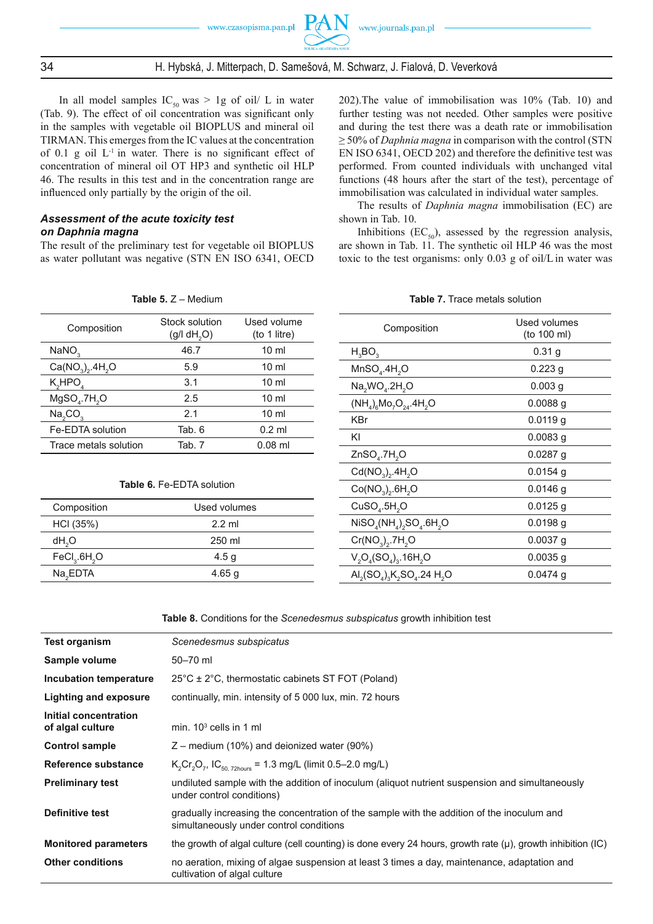### 34 H. Hybská, J. Mitterpach, D. Samešová, M. Schwarz, J. Fialová, D. Veverková

In all model samples  $IC_{50}$  was > 1g of oil/ L in water (Tab. 9). The effect of oil concentration was significant only in the samples with vegetable oil BIOPLUS and mineral oil TIRMAN. This emerges from the IC values at the concentration of 0.1 g oil  $L^{-1}$  in water. There is no significant effect of concentration of mineral oil OT HP3 and synthetic oil HLP 46. The results in this test and in the concentration range are influenced only partially by the origin of the oil.

#### *Assessment of the acute toxicity test on Daphnia magna*

The result of the preliminary test for vegetable oil BIOPLUS as water pollutant was negative (STN EN ISO 6341, OECD

**Table 5.** Z – Medium

202).The value of immobilisation was 10% (Tab. 10) and further testing was not needed. Other samples were positive and during the test there was a death rate or immobilisation ≥ 50% of *Daphnia magna* in comparison with the control (STN EN ISO 6341, OECD 202) and therefore the definitive test was performed. From counted individuals with unchanged vital functions (48 hours after the start of the test), percentage of immobilisation was calculated in individual water samples.

The results of *Daphnia magna* immobilisation (EC) are shown in Tab. 10.

Inhibitions  $(EC_{50})$ , assessed by the regression analysis, are shown in Tab. 11. The synthetic oil HLP 46 was the most toxic to the test organisms: only 0.03 g of oil/L in water was

| Composition                          | Stock solution<br>(g/l dH <sub>2</sub> O) | Used volume<br>(to 1 litre) |
|--------------------------------------|-------------------------------------------|-----------------------------|
| NANO <sub>3</sub>                    | 46.7                                      | $10 \mathrm{m}$             |
| $Ca(NO3)2$ .4H <sub>2</sub> O        | 5.9                                       | $10 \mathrm{m}$             |
| K,HPO,                               | 3.1                                       | $10 \mathrm{m}$             |
| MgSO <sub>a</sub> .7H <sub>2</sub> O | 2.5                                       | $10 \mathrm{m}$             |
| Na, CO,                              | 2.1                                       | $10 \mathrm{m}$             |
| Fe-EDTA solution                     | Tab. 6                                    | $0.2$ ml                    |
| Trace metals solution                | Tab. 7                                    | $0.08$ ml                   |
|                                      |                                           |                             |

## **Table 6.** Fe-EDTA solution

| Composition                          | Used volumes |  |
|--------------------------------------|--------------|--|
| HCI (35%)                            | $2.2$ ml     |  |
| dH <sub>2</sub> O                    | 250 ml       |  |
| FeCl <sub>3</sub> .6H <sub>2</sub> O | 4.5 g        |  |
| Na <sub>2</sub> EDTA                 | 4.65 q       |  |

#### **Table 7.** Trace metals solution

| Composition                               | Used volumes<br>(to 100 ml) |  |  |  |  |  |
|-------------------------------------------|-----------------------------|--|--|--|--|--|
| $H_3BO_3$                                 | 0.31 g                      |  |  |  |  |  |
| MnSO <sub>4</sub> .4H <sub>2</sub> O      | $0.223$ g                   |  |  |  |  |  |
| $Na2WO4.2H2O$                             | 0.003 <sub>q</sub>          |  |  |  |  |  |
| $(NH_4)_{6}Mo_7O_{24}.4H_2O$              | $0.0088$ g                  |  |  |  |  |  |
| <b>KBr</b>                                | $0.0119$ g                  |  |  |  |  |  |
| ΚI                                        | $0.0083$ g                  |  |  |  |  |  |
| ZnSO <sub>4</sub> .7H <sub>2</sub> O      | 0.0287 g                    |  |  |  |  |  |
| $Cd(NO3)2.4H2O$                           | $0.0154$ g                  |  |  |  |  |  |
| $Co(NO_3), 6H_2O$                         | $0.0146$ g                  |  |  |  |  |  |
| CuSO <sub>4</sub> .5H <sub>2</sub> O      | $0.0125$ g                  |  |  |  |  |  |
| $NISO_{4}(NH_{4})_{2}SO_{4}.6H_{2}O$      | $0.0198$ g                  |  |  |  |  |  |
| $Cr(NO3)2$ .7H <sub>2</sub> O             | $0.0037$ g                  |  |  |  |  |  |
| $V_2O_4(SO_4)_3.16H_2O$                   | $0.0035$ g                  |  |  |  |  |  |
| $AI_{2}(SO_{4})_{3}K_{2}SO_{4}.24 H_{2}O$ | $0.0474$ g                  |  |  |  |  |  |

**Table 8.** Conditions for the *Scenedesmus subspicatus* growth inhibition test

| Test organism                             | Scenedesmus subspicatus                                                                                                               |
|-------------------------------------------|---------------------------------------------------------------------------------------------------------------------------------------|
| Sample volume                             | $50 - 70$ ml                                                                                                                          |
| Incubation temperature                    | $25^{\circ}$ C ± 2 $^{\circ}$ C, thermostatic cabinets ST FOT (Poland)                                                                |
| <b>Lighting and exposure</b>              | continually, min. intensity of 5 000 lux, min. 72 hours                                                                               |
| Initial concentration<br>of algal culture | min. $103$ cells in 1 ml                                                                                                              |
| <b>Control sample</b>                     | $Z$ – medium (10%) and deionized water (90%)                                                                                          |
| Reference substance                       | $K_2Cr_2O_7$ , IC <sub>50.72hours</sub> = 1.3 mg/L (limit 0.5–2.0 mg/L)                                                               |
| <b>Preliminary test</b>                   | undiluted sample with the addition of inoculum (aliquot nutrient suspension and simultaneously<br>under control conditions)           |
| <b>Definitive test</b>                    | gradually increasing the concentration of the sample with the addition of the inoculum and<br>simultaneously under control conditions |
| <b>Monitored parameters</b>               | the growth of algal culture (cell counting) is done every 24 hours, growth rate $(\mu)$ , growth inhibition (IC)                      |
| <b>Other conditions</b>                   | no aeration, mixing of algae suspension at least 3 times a day, maintenance, adaptation and<br>cultivation of algal culture           |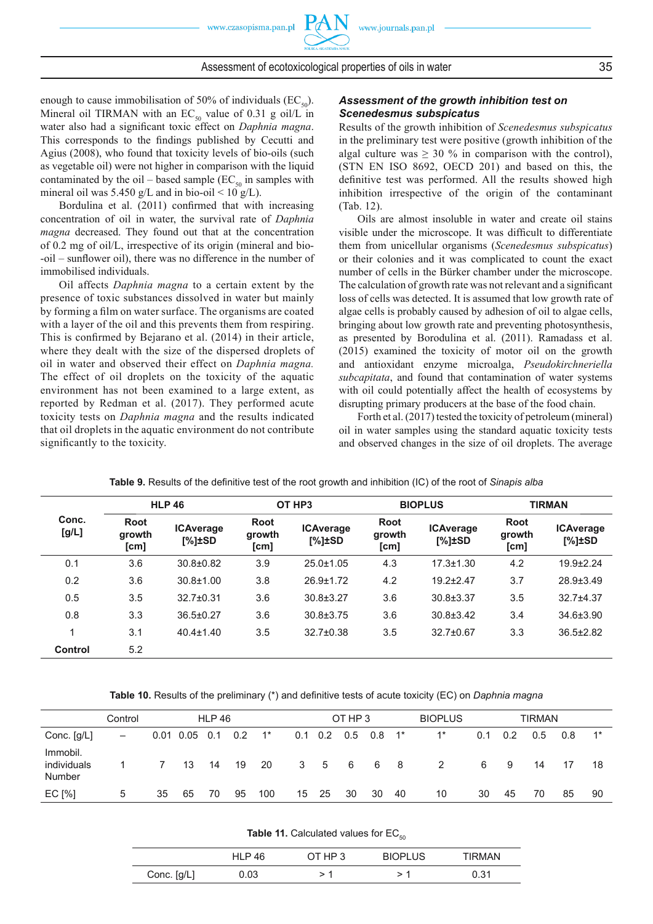enough to cause immobilisation of 50% of individuals  $(EC_{50})$ . Mineral oil TIRMAN with an  $EC_{50}$  value of 0.31 g oil/L in water also had a significant toxic effect on *Daphnia magna*. This corresponds to the findings published by Cecutti and Agius (2008), who found that toxicity levels of bio-oils (such as vegetable oil) were not higher in comparison with the liquid contaminated by the oil – based sample ( $EC_{50}$  in samples with mineral oil was 5.450 g/L and in bio-oil < 10 g/L).

Bordulina et al. (2011) confirmed that with increasing concentration of oil in water, the survival rate of *Daphnia magna* decreased. They found out that at the concentration of 0.2 mg of oil/L, irrespective of its origin (mineral and bio- -oil – sunflower oil), there was no difference in the number of immobilised individuals.

Oil affects *Daphnia magna* to a certain extent by the presence of toxic substances dissolved in water but mainly by forming a film on water surface. The organisms are coated with a layer of the oil and this prevents them from respiring. This is confirmed by Bejarano et al.  $(2014)$  in their article, where they dealt with the size of the dispersed droplets of oil in water and observed their effect on *Daphnia magna.*  The effect of oil droplets on the toxicity of the aquatic environment has not been examined to a large extent, as reported by Redman et al. (2017). They performed acute toxicity tests on *Daphnia magna* and the results indicated that oil droplets in the aquatic environment do not contribute significantly to the toxicity.

#### *Assessment of the growth inhibition test on Scenedesmus subspicatus*

Results of the growth inhibition of *Scenedesmus subspicatus* in the preliminary test were positive (growth inhibition of the algal culture was  $\geq 30$  % in comparison with the control), (STN EN ISO 8692, OECD 201) and based on this, the definitive test was performed. All the results showed high inhibition irrespective of the origin of the contaminant (Tab. 12).

Oils are almost insoluble in water and create oil stains visible under the microscope. It was difficult to differentiate them from unicellular organisms (*Scenedesmus subspicatus*) or their colonies and it was complicated to count the exact number of cells in the Bürker chamber under the microscope. The calculation of growth rate was not relevant and a significant loss of cells was detected. It is assumed that low growth rate of algae cells is probably caused by adhesion of oil to algae cells, bringing about low growth rate and preventing photosynthesis, as presented by Borodulina et al. (2011). Ramadass et al. (2015) examined the toxicity of motor oil on the growth and antioxidant enzyme microalga, *Pseudokirchneriella subcapitata*, and found that contamination of water systems with oil could potentially affect the health of ecosystems by disrupting primary producers at the base of the food chain.

Forth et al. (2017) tested the toxicity of petroleum (mineral) oil in water samples using the standard aquatic toxicity tests and observed changes in the size of oil droplets. The average

|                |                        | <b>HLP 46</b>                    |                                                                   | OT HP <sub>3</sub> |                               | <b>BIOPLUS</b>                   | <b>TIRMAN</b>                 |                                  |  |
|----------------|------------------------|----------------------------------|-------------------------------------------------------------------|--------------------|-------------------------------|----------------------------------|-------------------------------|----------------------------------|--|
| Conc.<br>[g/L] | Root<br>growth<br>[cm] | <b>ICAverage</b><br>$[\%]\pm SD$ | <b>Root</b><br><b>ICAverage</b><br>growth<br>$[\%]\pm SD$<br>[cm] |                    | <b>Root</b><br>growth<br>[cm] | <b>ICAverage</b><br>$[\%]\pm SD$ | <b>Root</b><br>growth<br>[cm] | <b>ICAverage</b><br>$[\%]\pm SD$ |  |
| 0.1            | 3.6                    | $30.8 + 0.82$                    | 3.9                                                               | $25.0 \pm 1.05$    | 4.3                           | $17.3 \pm 1.30$                  | 4.2                           | $19.9 + 2.24$                    |  |
| 0.2            | 3.6                    | $30.8 \pm 1.00$                  | 3.8                                                               | $26.9 \pm 1.72$    | 4.2                           | $19.2 \pm 2.47$                  | 3.7                           | $28.9 \pm 3.49$                  |  |
| 0.5            | 3.5                    | $32.7 \pm 0.31$                  | 3.6                                                               | $30.8 \pm 3.27$    | 3.6                           | $30.8 \pm 3.37$                  | 3.5                           | $32.7 + 4.37$                    |  |
| 0.8            | 3.3                    | $36.5 \pm 0.27$                  | 3.6                                                               | $30.8 \pm 3.75$    | 3.6                           | $30.8 \pm 3.42$                  | 3.4                           | $34.6 \pm 3.90$                  |  |
| 1              | 3.1                    | $40.4 \pm 1.40$                  | 3.5                                                               | $32.7 \pm 0.38$    | 3.5                           | $32.7 \pm 0.67$                  | 3.3                           | $36.5 \pm 2.82$                  |  |
| <b>Control</b> | 5.2                    |                                  |                                                                   |                    |                               |                                  |                               |                                  |  |

| <b>Table 9.</b> Results of the definitive test of the root growth and inhibition (IC) of the root of <i>Sinapis alba</i> |  |  |  |  |  |
|--------------------------------------------------------------------------------------------------------------------------|--|--|--|--|--|
|                                                                                                                          |  |  |  |  |  |

Table 10. Results of the preliminary (\*) and definitive tests of acute toxicity (EC) on *Daphnia magna* 

|                                   | Control           | <b>HLP 46</b> |                 |     |     | OT HP 3<br><b>BIOPLUS</b> |    |      | <b>TIRMAN</b>        |    |                |      |     |     |               |     |       |
|-----------------------------------|-------------------|---------------|-----------------|-----|-----|---------------------------|----|------|----------------------|----|----------------|------|-----|-----|---------------|-----|-------|
| Conc. [g/L]                       | $\qquad \qquad -$ |               | $0.01$ 0.05 0.1 |     | 0.2 | $1^*$                     |    |      | $0.1$ 0.2 0.5 0.8 1* |    |                | $1*$ | 0.1 | 0.2 | $0.5^{\circ}$ | 0.8 | $1^*$ |
| Immobil.<br>individuals<br>Number |                   | 7             | 13              | -14 | 19  | 20                        | 3  | $-5$ | 6 6                  |    | 8 <sup>8</sup> | 2    | 6   | 9   | 14            |     | 18    |
| EC [%]                            | 5                 | 35            | 65              | 70  | 95  | 100                       | 15 | 25   | 30                   | 30 | 40             | 10   | 30  | 45  | 70            | 85  | 90    |

| <b>Table 11.</b> Calculated values for $EC_{50}$ |  |
|--------------------------------------------------|--|
|--------------------------------------------------|--|

|             | <b>HLP 46</b> | OT HP 3 | <b>BIOPLUS</b> | TIRMAN |
|-------------|---------------|---------|----------------|--------|
| Conc. [g/L] | 0.03          |         | ר -            | 0.31   |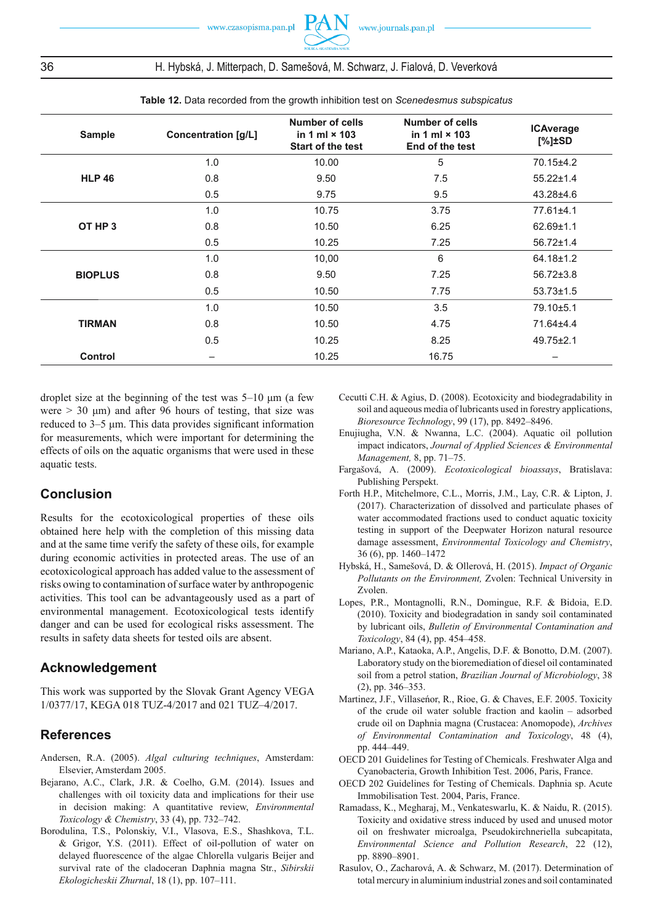## 36 H. Hybská, J. Mitterpach, D. Samešová, M. Schwarz, J. Fialová, D. Veverková

| <b>Sample</b>  | <b>Concentration [g/L]</b> | Number of cells<br>in 1 ml $\times$ 103<br><b>Start of the test</b> | Number of cells<br>in 1 ml $\times$ 103<br>End of the test | <b>ICAverage</b><br>$[\%]\pm SD$ |
|----------------|----------------------------|---------------------------------------------------------------------|------------------------------------------------------------|----------------------------------|
| <b>HLP 46</b>  | 1.0                        | 10.00                                                               | 5                                                          | 70.15±4.2                        |
|                | 0.8                        | 9.50                                                                | 7.5                                                        | $55.22 \pm 1.4$                  |
|                | 0.5                        | 9.75                                                                | 9.5                                                        | $43.28 + 4.6$                    |
| OT HP 3        | 1.0                        | 10.75                                                               | 3.75                                                       | 77.61±4.1                        |
|                | 0.8                        | 10.50                                                               | 6.25                                                       | $62.69 \pm 1.1$                  |
|                | 0.5                        | 10.25                                                               | 7.25                                                       | $56.72 \pm 1.4$                  |
| <b>BIOPLUS</b> | 1.0                        | 10,00                                                               | 6                                                          | $64.18 \pm 1.2$                  |
|                | 0.8                        | 9.50                                                                | 7.25                                                       | $56.72{\pm}3.8$                  |
|                | 0.5                        | 10.50                                                               | 7.75                                                       | $53.73 \pm 1.5$                  |
| <b>TIRMAN</b>  | 1.0                        | 10.50                                                               | 3.5                                                        | 79.10±5.1                        |
|                | 0.8                        | 10.50                                                               | 4.75                                                       | 71.64±4.4                        |
|                | 0.5                        | 10.25                                                               | 8.25                                                       | $49.75 \pm 2.1$                  |
| Control        | -                          | 10.25                                                               | 16.75                                                      |                                  |

**Table 12.** Data recorded from the growth inhibition test on *Scenedesmus subspicatus*

droplet size at the beginning of the test was 5–10 μm (a few were  $> 30 \mu m$ ) and after 96 hours of testing, that size was reduced to  $3-5$   $\mu$ m. This data provides significant information for measurements, which were important for determining the effects of oils on the aquatic organisms that were used in these aquatic tests.

## **Conclusion**

Results for the ecotoxicological properties of these oils obtained here help with the completion of this missing data and at the same time verify the safety of these oils, for example during economic activities in protected areas. The use of an ecotoxicological approach has added value to the assessment of risks owing to contamination of surface water by anthropogenic activities. This tool can be advantageously used as a part of environmental management. Ecotoxicological tests identify danger and can be used for ecological risks assessment. The results in safety data sheets for tested oils are absent.

## **Acknowledgement**

This work was supported by the Slovak Grant Agency VEGA 1/0377/17, KEGA 018 TUZ-4/2017 and 021 TUZ–4/2017.

#### **References**

- Andersen, R.A. (2005). *Algal culturing techniques*, Amsterdam: Elsevier, Amsterdam 2005.
- Bejarano, A.C., Clark, J.R. & Coelho, G.M. (2014). Issues and challenges with oil toxicity data and implications for their use in decision making: A quantitative review, *Environmental Toxicology & Chemistry*, 33 (4), pp. 732–742.
- Borodulina, T.S., Polonskiy, V.I., Vlasova, E.S., Shashkova, T.L. & Grigor, Y.S. (2011). Effect of oil-pollution of water on delayed fluorescence of the algae Chlorella vulgaris Beijer and survival rate of the cladoceran Daphnia magna Str., *Sibirskii Ekologicheskii Zhurnal*, 18 (1), pp. 107–111.
- Cecutti C.H. & Agius, D. (2008). Ecotoxicity and biodegradability in soil and aqueous media of lubricants used in forestry applications, *Bioresource Technology*, 99 (17), pp. 8492–8496.
- Enujiugha, V.N. & Nwanna, L.C. (2004). Aquatic oil pollution impact indicators, *Journal of Applied Sciences & Environmental Management,* 8, pp. 71–75.
- Fargašová, A. (2009). *Ecotoxicological bioassays*, Bratislava: Publishing Perspekt.
- Forth H.P., Mitchelmore, C.L., Morris, J.M., Lay, C.R. & Lipton, J. (2017). Characterization of dissolved and particulate phases of water accommodated fractions used to conduct aquatic toxicity testing in support of the Deepwater Horizon natural resource damage assessment, *Environmental Toxicology and Chemistry*, 36 (6), pp. 1460–1472
- Hybská, H., Samešová, D. & Ollerová, H. ( 2015). *Impact of Organic Pollutants on the Environment,* Zvolen: Technical University in Zvolen.
- Lopes, P.R., Montagnolli, R.N., Domingue, R.F. & Bidoia, E.D. (2010). Toxicity and biodegradation in sandy soil contaminated by lubricant oils, *Bulletin of Environmental Contamination and Toxicology*, 84 (4), pp. 454–458.
- Mariano, A.P., Kataoka, A.P., Angelis, D.F. & Bonotto, D.M. (2007). Laboratory study on the bioremediation of diesel oil contaminated soil from a petrol station, *Brazilian Journal of Microbiology*, 38 (2), pp. 346–353.
- Martinez, J.F., Villaseńor, R., Rioe, G. & Chaves, E.F. 2005. Toxicity of the crude oil water soluble fraction and kaolin – adsorbed crude oil on Daphnia magna (Crustacea: Anomopode), *Archives of Environmental Contamination and Toxicology*, 48 (4), pp. 444–449.
- OECD 201 Guidelines for Testing of Chemicals. Freshwater Alga and Cyanobacteria, Growth Inhibition Test. 2006, Paris, France.
- OECD 202 Guidelines for Testing of Chemicals. Daphnia sp. Acute Immobilisation Test. 2004, Paris, France.
- Ramadass, K., Megharaj, M., Venkateswarlu, K. & Naidu, R. (2015). Toxicity and oxidative stress induced by used and unused motor oil on freshwater microalga, Pseudokirchneriella subcapitata, *Environmental Science and Pollution Research*, 22 (12), pp. 8890–8901.
- Rasulov, O., Zacharová, A. & Schwarz, M. (2017). Determination of total mercury in aluminium industrial zones and soil contaminated